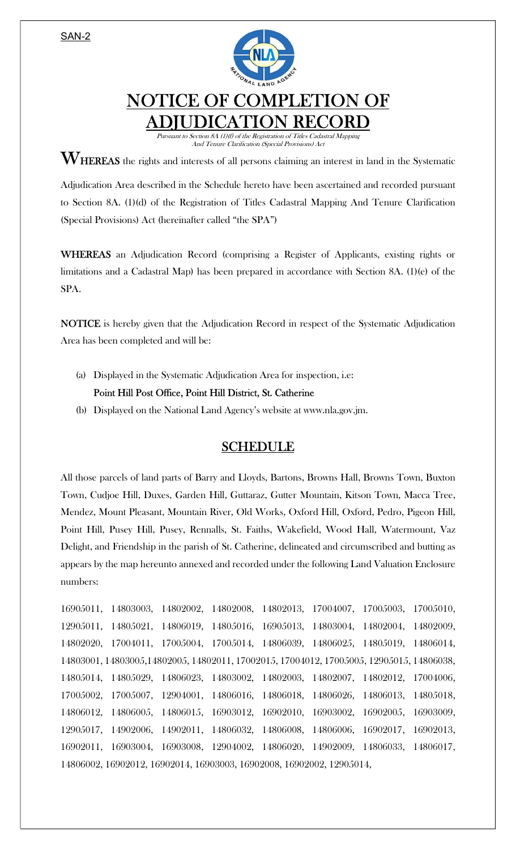SAN-2



## NOTICE OF COMPLETION OF ADJUDICATION RECORD

Pursuant to Section 8A (1)(f) of the Registration of Titles Cadastral Mapping And Tenure Clarification (Special Provisions) Act

 $\mathbf{W}_{\text{HEREAS}}$  the rights and interests of all persons claiming an interest in land in the Systematic

Adjudication Area described in the Schedule hereto have been ascertained and recorded pursuant to Section 8A. (1)(d) of the Registration of Titles Cadastral Mapping And Tenure Clarification (Special Provisions) Act (hereinafter called "the SPA")

WHEREAS an Adjudication Record (comprising a Register of Applicants, existing rights or limitations and a Cadastral Map) has been prepared in accordance with Section 8A. (1)(e) of the SPA.

NOTICE is hereby given that the Adjudication Record in respect of the Systematic Adjudication Area has been completed and will be:

(a) Displayed in the Systematic Adjudication Area for inspection, i.e:

Point Hill Post Office, Point Hill District, St. Catherine

(b) Displayed on the National Land Agency's website at www.nla.gov.jm.

## SCHEDULE

All those parcels of land parts of Barry and Lloyds, Bartons, Browns Hall, Browns Town, Buxton Town, Cudjoe Hill, Duxes, Garden Hill, Guttaraz, Gutter Mountain, Kitson Town, Macca Tree, Mendez, Mount Pleasant, Mountain River, Old Works, Oxford Hill, Oxford, Pedro, Pigeon Hill, Point Hill, Pusey Hill, Pusey, Rennalls, St. Faiths, Wakefield, Wood Hall, Watermount, Vaz Delight, and Friendship in the parish of St. Catherine, delineated and circumscribed and butting as appears by the map hereunto annexed and recorded under the following Land Valuation Enclosure numbers:

16905011, 14803003, 14802002, 14802008, 14802013, 17004007, 17005003, 17005010, 12905011, 14805021, 14806019, 14805016, 16905013, 14803004, 14802004, 14802009, 14802020, 17004011, 17005004, 17005014, 14806039, 14806025, 14805019, 14806014, 14803001, 14803005,14802005, 14802011, 17002015, 17004012, 17005005, 12905015, 14806038, 14805014, 14805029, 14806023, 14803002, 14802003, 14802007, 14802012, 17004006, 17005002, 17005007, 12904001, 14806016, 14806018, 14806026, 14806013, 14805018, 14806012, 14806005, 14806015, 16903012, 16902010, 16903002, 16902005, 16903009, 12905017, 14902006, 14902011, 14806032, 14806008, 14806006, 16902017, 16902013, 16902011, 16903004, 16903008, 12904002, 14806020, 14902009, 14806033, 14806017, 14806002, 16902012, 16902014, 16903003, 16902008, 16902002, 12905014,